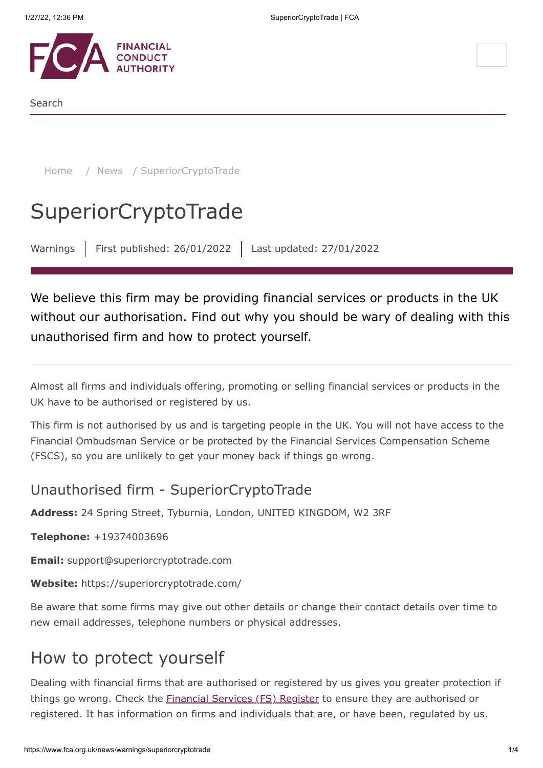

Search

[Home](https://www.fca.org.uk/) / [News](https://www.fca.org.uk/news) / SuperiorCryptoTrade

# **SuperiorCryptoTrade**

Warnings | First published: 26/01/2022 | Last updated: 27/01/2022

We believe this firm may be providing financial services or products in the UK without our authorisation. Find out why you should be wary of dealing with this unauthorised firm and how to protect yourself.

Almost all firms and individuals offering, promoting or selling financial services or products in the UK have to be authorised or registered by us.

This firm is not authorised by us and is targeting people in the UK. You will not have access to the Financial Ombudsman Service or be protected by the Financial Services Compensation Scheme (FSCS), so you are unlikely to get your money back if things go wrong.

### Unauthorised firm - SuperiorCryptoTrade

**Address:** 24 Spring Street, Tyburnia, London, UNITED KINGDOM, W2 3RF

**Telephone:** +19374003696

**Email:** support@superiorcryptotrade.com

**Website:** https://superiorcryptotrade.com/

Be aware that some firms may give out other details or change their contact details over time to new email addresses, telephone numbers or physical addresses.

### How to protect yourself

Dealing with financial firms that are authorised or registered by us gives you greater protection if things go wrong. Check the **[Financial Services \(FS\) Register](https://register.fca.org.uk/)** to ensure they are authorised or registered. It has information on firms and individuals that are, or have been, regulated by us.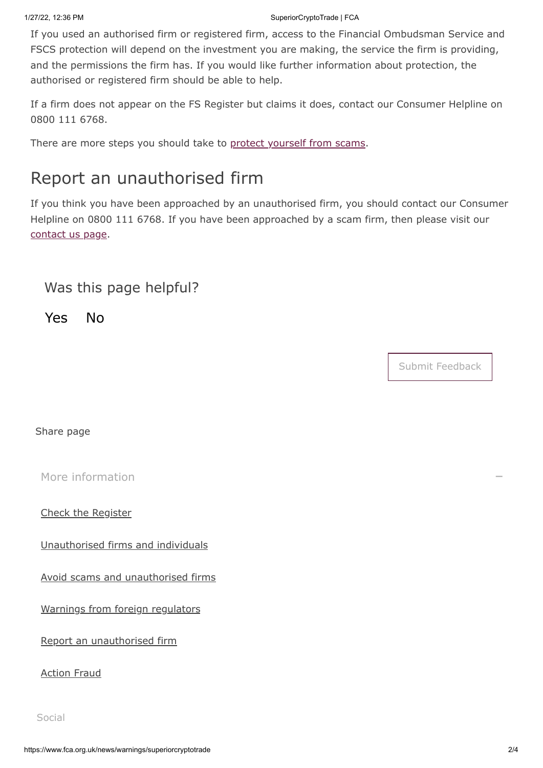#### 1/27/22, 12:36 PM SuperiorCryptoTrade | FCA

If you used an authorised firm or registered firm, access to the Financial Ombudsman Service and FSCS protection will depend on the investment you are making, the service the firm is providing, and the permissions the firm has. If you would like further information about protection, the authorised or registered firm should be able to help.

If a firm does not appear on the FS Register but claims it does, contact our Consumer Helpline on 0800 111 6768.

There are more steps you should take to [protect yourself from scams](https://www.fca.org.uk/consumers/avoid-scams-unauthorised-firms).

## Report an unauthorised firm

If you think you have been approached by an unauthorised firm, you should contact our Consumer Helpline on 0800 111 6768. If you have been approached by a scam firm, then please visit our [contact us page.](https://www.fca.org.uk/contact)

### Was this page helpful?

Yes No

Submit Feedback

Share page

[More information](#page-1-0)

<span id="page-1-0"></span>[Check the Register](https://register.fca.org.uk/)

[Unauthorised firms and individuals](https://www.fca.org.uk/consumers/unauthorised-firms-individuals)

[Avoid scams and unauthorised firms](https://www.fca.org.uk/consumers/avoid-scams-unauthorised-firms)

[Warnings from foreign regulators](https://www.iosco.org/investor_protection/?subsection=investor_alerts_portal)

[Report an unauthorised firm](https://www.fca.org.uk/consumers/report-scam-unauthorised-firm)

[Action Fraud](https://www.fca.org.uk/consumers/report-scam-unauthorised-firm)

Social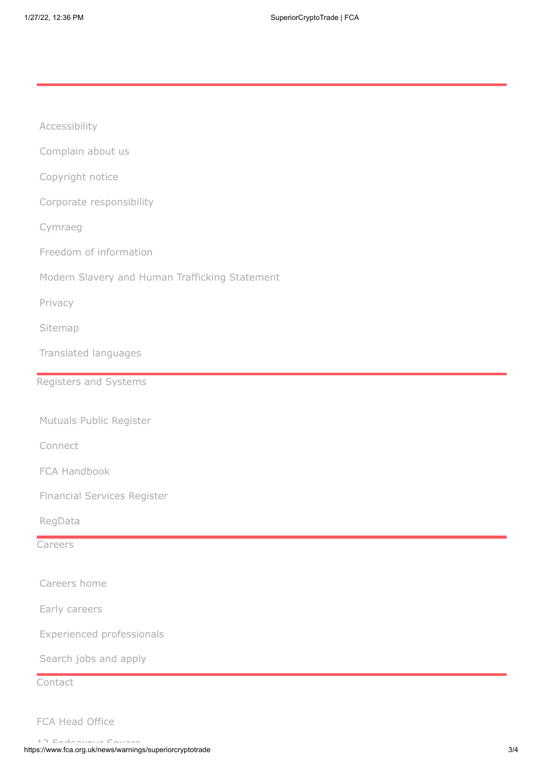| Accessibility                                  |  |
|------------------------------------------------|--|
| Complain about us                              |  |
| Copyright notice                               |  |
| Corporate responsibility                       |  |
| Cymraeg                                        |  |
| Freedom of information                         |  |
| Modern Slavery and Human Trafficking Statement |  |
| Privacy                                        |  |
| Sitemap                                        |  |
| Translated languages                           |  |
| Registers and Systems                          |  |
|                                                |  |
| Mutuals Public Register                        |  |
| Connect                                        |  |
| FCA Handbook                                   |  |
| <b>Financial Services Register</b>             |  |
| RegData                                        |  |
| Careers                                        |  |
|                                                |  |
| Careers home                                   |  |
| Early careers                                  |  |
| <b>Experienced professionals</b>               |  |
| Search jobs and apply                          |  |
| Contact                                        |  |

FCA Head Office